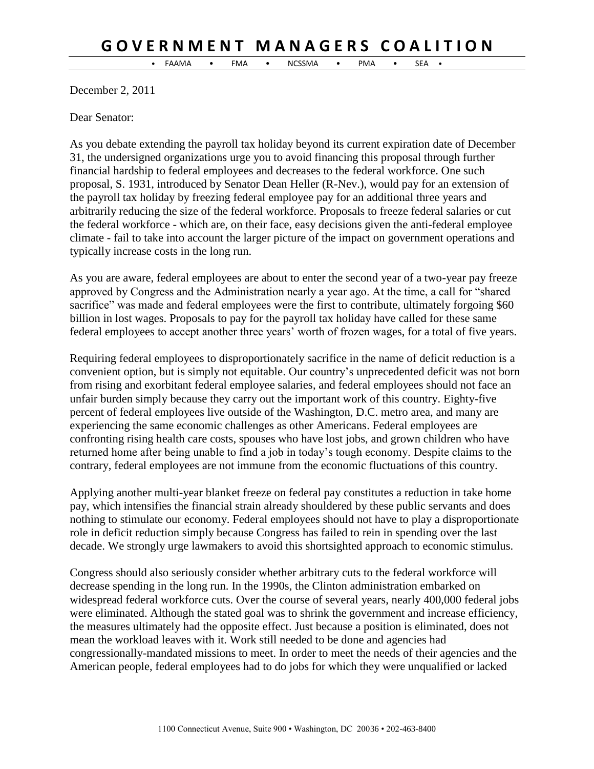## **G O V E R N M E N T M A N A G E R S C O A L I T I O N**

• FAAMA • FMA • NCSSMA • PMA • SEA •

December 2, 2011

Dear Senator:

As you debate extending the payroll tax holiday beyond its current expiration date of December 31, the undersigned organizations urge you to avoid financing this proposal through further financial hardship to federal employees and decreases to the federal workforce. One such proposal, S. 1931, introduced by Senator Dean Heller (R-Nev.), would pay for an extension of the payroll tax holiday by freezing federal employee pay for an additional three years and arbitrarily reducing the size of the federal workforce. Proposals to freeze federal salaries or cut the federal workforce - which are, on their face, easy decisions given the anti-federal employee climate - fail to take into account the larger picture of the impact on government operations and typically increase costs in the long run.

As you are aware, federal employees are about to enter the second year of a two-year pay freeze approved by Congress and the Administration nearly a year ago. At the time, a call for "shared sacrifice" was made and federal employees were the first to contribute, ultimately forgoing \$60 billion in lost wages. Proposals to pay for the payroll tax holiday have called for these same federal employees to accept another three years' worth of frozen wages, for a total of five years.

Requiring federal employees to disproportionately sacrifice in the name of deficit reduction is a convenient option, but is simply not equitable. Our country's unprecedented deficit was not born from rising and exorbitant federal employee salaries, and federal employees should not face an unfair burden simply because they carry out the important work of this country. Eighty-five percent of federal employees live outside of the Washington, D.C. metro area, and many are experiencing the same economic challenges as other Americans. Federal employees are confronting rising health care costs, spouses who have lost jobs, and grown children who have returned home after being unable to find a job in today's tough economy. Despite claims to the contrary, federal employees are not immune from the economic fluctuations of this country.

Applying another multi-year blanket freeze on federal pay constitutes a reduction in take home pay, which intensifies the financial strain already shouldered by these public servants and does nothing to stimulate our economy. Federal employees should not have to play a disproportionate role in deficit reduction simply because Congress has failed to rein in spending over the last decade. We strongly urge lawmakers to avoid this shortsighted approach to economic stimulus.

Congress should also seriously consider whether arbitrary cuts to the federal workforce will decrease spending in the long run. In the 1990s, the Clinton administration embarked on widespread federal workforce cuts. Over the course of several years, nearly 400,000 federal jobs were eliminated. Although the stated goal was to shrink the government and increase efficiency, the measures ultimately had the opposite effect. Just because a position is eliminated, does not mean the workload leaves with it. Work still needed to be done and agencies had congressionally-mandated missions to meet. In order to meet the needs of their agencies and the American people, federal employees had to do jobs for which they were unqualified or lacked